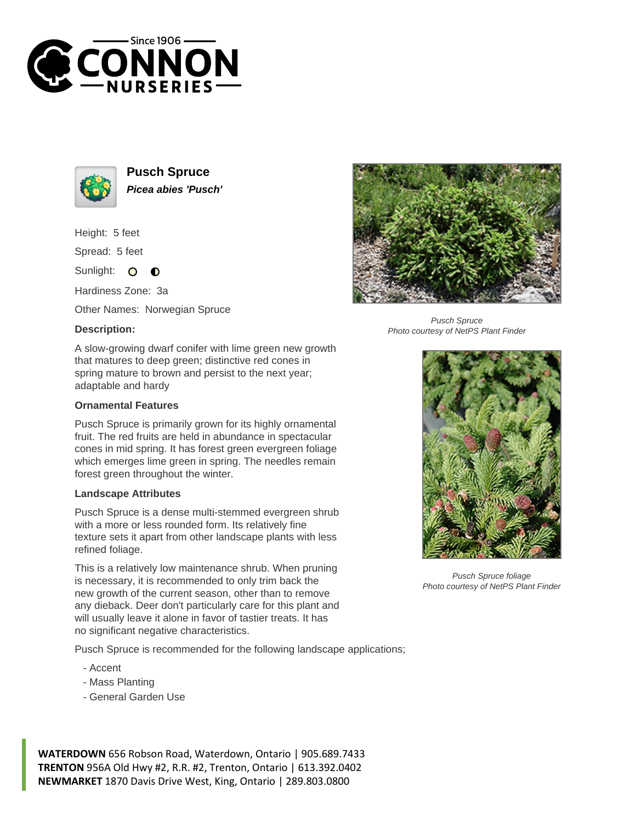



**Pusch Spruce Picea abies 'Pusch'**

Height: 5 feet

Spread: 5 feet

Sunlight: O  $\bullet$ 

Hardiness Zone: 3a

Other Names: Norwegian Spruce

## **Description:**



## **Ornamental Features**

Pusch Spruce is primarily grown for its highly ornamental fruit. The red fruits are held in abundance in spectacular cones in mid spring. It has forest green evergreen foliage which emerges lime green in spring. The needles remain forest green throughout the winter.

## **Landscape Attributes**

Pusch Spruce is a dense multi-stemmed evergreen shrub with a more or less rounded form. Its relatively fine texture sets it apart from other landscape plants with less refined foliage.

This is a relatively low maintenance shrub. When pruning is necessary, it is recommended to only trim back the new growth of the current season, other than to remove any dieback. Deer don't particularly care for this plant and will usually leave it alone in favor of tastier treats. It has no significant negative characteristics.

Pusch Spruce is recommended for the following landscape applications;

- Accent
- Mass Planting
- General Garden Use

**WATERDOWN** 656 Robson Road, Waterdown, Ontario | 905.689.7433 **TRENTON** 956A Old Hwy #2, R.R. #2, Trenton, Ontario | 613.392.0402 **NEWMARKET** 1870 Davis Drive West, King, Ontario | 289.803.0800



Pusch Spruce Photo courtesy of NetPS Plant Finder



Pusch Spruce foliage Photo courtesy of NetPS Plant Finder